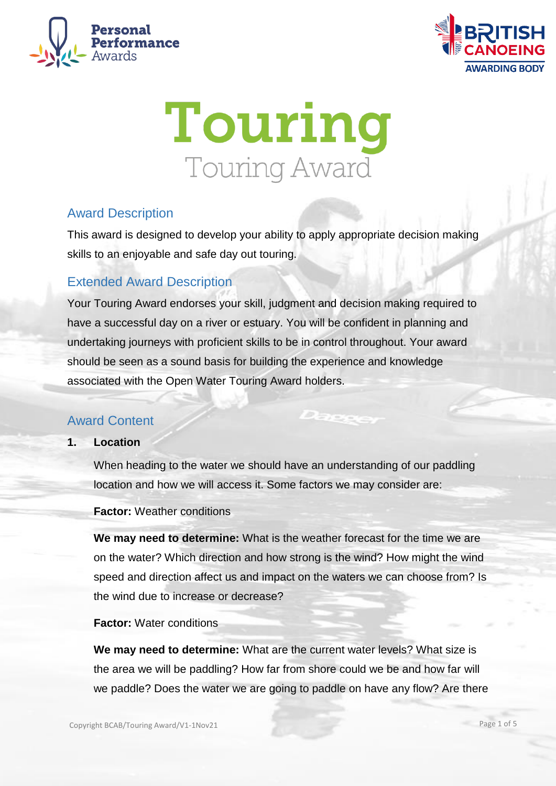





# Award Description

This award is designed to develop your ability to apply appropriate decision making skills to an enjoyable and safe day out touring.

# Extended Award Description

Your Touring Award endorses your skill, judgment and decision making required to have a successful day on a river or estuary. You will be confident in planning and undertaking journeys with proficient skills to be in control throughout. Your award should be seen as a sound basis for building the experience and knowledge associated with the Open Water Touring Award holders.

# Award Content

**1. Location**

When heading to the water we should have an understanding of our paddling location and how we will access it. Some factors we may consider are:

**Factor:** Weather conditions

**We may need to determine:** What is the weather forecast for the time we are on the water? Which direction and how strong is the wind? How might the wind speed and direction affect us and impact on the waters we can choose from? Is the wind due to increase or decrease?

**Factor:** Water conditions

**We may need to determine:** What are the current water levels? What size is the area we will be paddling? How far from shore could we be and how far will we paddle? Does the water we are going to paddle on have any flow? Are there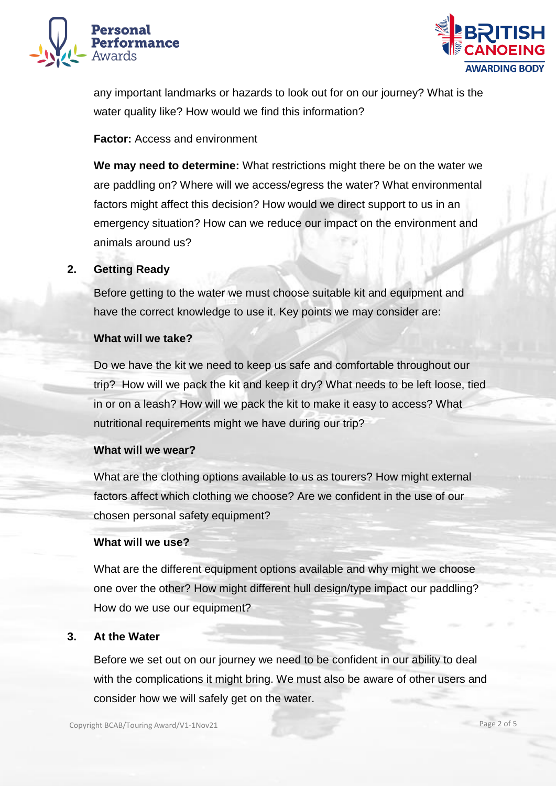



any important landmarks or hazards to look out for on our journey? What is the water quality like? How would we find this information?

# **Factor:** Access and environment

**We may need to determine:** What restrictions might there be on the water we are paddling on? Where will we access/egress the water? What environmental factors might affect this decision? How would we direct support to us in an emergency situation? How can we reduce our impact on the environment and animals around us?

## **2. Getting Ready**

Before getting to the water we must choose suitable kit and equipment and have the correct knowledge to use it. Key points we may consider are:

## **What will we take?**

Do we have the kit we need to keep us safe and comfortable throughout our trip? How will we pack the kit and keep it dry? What needs to be left loose, tied in or on a leash? How will we pack the kit to make it easy to access? What nutritional requirements might we have during our trip?

#### **What will we wear?**

What are the clothing options available to us as tourers? How might external factors affect which clothing we choose? Are we confident in the use of our chosen personal safety equipment?

#### **What will we use?**

What are the different equipment options available and why might we choose one over the other? How might different hull design/type impact our paddling? How do we use our equipment?

## **3. At the Water**

Before we set out on our journey we need to be confident in our ability to deal with the complications it might bring. We must also be aware of other users and consider how we will safely get on the water.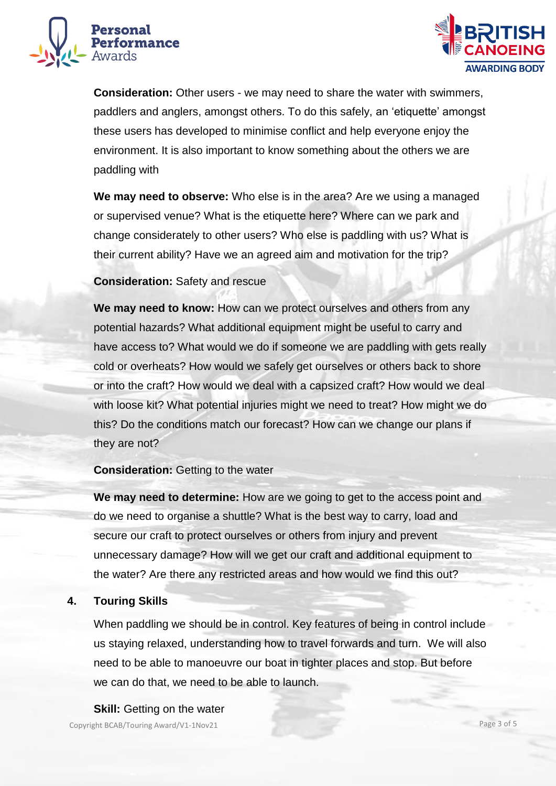



**Consideration:** Other users - we may need to share the water with swimmers, paddlers and anglers, amongst others. To do this safely, an 'etiquette' amongst these users has developed to minimise conflict and help everyone enjoy the environment. It is also important to know something about the others we are paddling with

**We may need to observe:** Who else is in the area? Are we using a managed or supervised venue? What is the etiquette here? Where can we park and change considerately to other users? Who else is paddling with us? What is their current ability? Have we an agreed aim and motivation for the trip?

## **Consideration:** Safety and rescue

**We may need to know:** How can we protect ourselves and others from any potential hazards? What additional equipment might be useful to carry and have access to? What would we do if someone we are paddling with gets really cold or overheats? How would we safely get ourselves or others back to shore or into the craft? How would we deal with a capsized craft? How would we deal with loose kit? What potential injuries might we need to treat? How might we do this? Do the conditions match our forecast? How can we change our plans if they are not?

## **Consideration:** Getting to the water

**We may need to determine:** How are we going to get to the access point and do we need to organise a shuttle? What is the best way to carry, load and secure our craft to protect ourselves or others from injury and prevent unnecessary damage? How will we get our craft and additional equipment to the water? Are there any restricted areas and how would we find this out?

## **4. Touring Skills**

When paddling we should be in control. Key features of being in control include us staying relaxed, understanding how to travel forwards and turn. We will also need to be able to manoeuvre our boat in tighter places and stop. But before we can do that, we need to be able to launch.

## **Skill:** Getting on the water

Copyright BCAB/Touring Award/V1-1Nov21 Page 3 of 5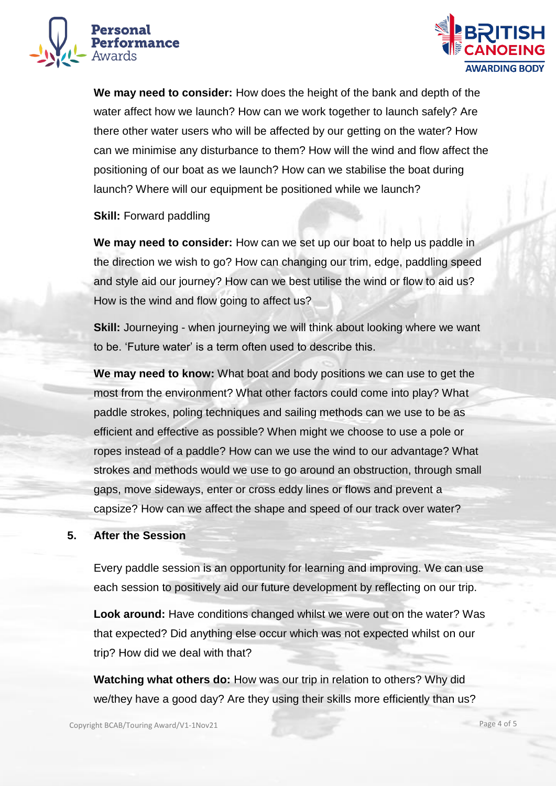



**We may need to consider:** How does the height of the bank and depth of the water affect how we launch? How can we work together to launch safely? Are there other water users who will be affected by our getting on the water? How can we minimise any disturbance to them? How will the wind and flow affect the positioning of our boat as we launch? How can we stabilise the boat during launch? Where will our equipment be positioned while we launch?

# **Skill: Forward paddling**

**We may need to consider:** How can we set up our boat to help us paddle in the direction we wish to go? How can changing our trim, edge, paddling speed and style aid our journey? How can we best utilise the wind or flow to aid us? How is the wind and flow going to affect us?

**Skill:** Journeying - when journeying we will think about looking where we want to be. 'Future water' is a term often used to describe this.

**We may need to know:** What boat and body positions we can use to get the most from the environment? What other factors could come into play? What paddle strokes, poling techniques and sailing methods can we use to be as efficient and effective as possible? When might we choose to use a pole or ropes instead of a paddle? How can we use the wind to our advantage? What strokes and methods would we use to go around an obstruction, through small gaps, move sideways, enter or cross eddy lines or flows and prevent a capsize? How can we affect the shape and speed of our track over water?

## **5. After the Session**

Every paddle session is an opportunity for learning and improving. We can use each session to positively aid our future development by reflecting on our trip.

**Look around:** Have conditions changed whilst we were out on the water? Was that expected? Did anything else occur which was not expected whilst on our trip? How did we deal with that?

**Watching what others do:** How was our trip in relation to others? Why did we/they have a good day? Are they using their skills more efficiently than us?